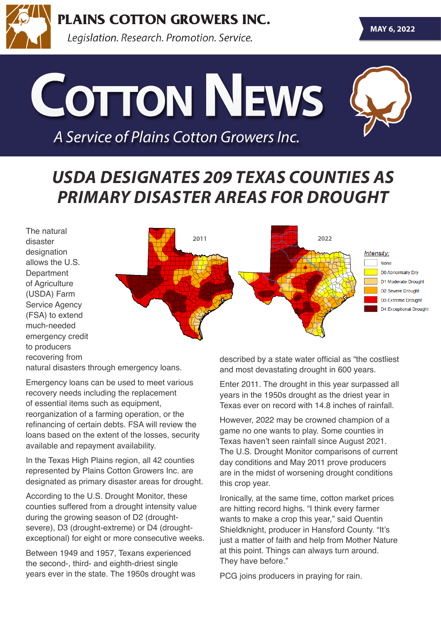

**PLAINS COTTON GROWERS INC.** 

Legislation. Research. Promotion. Service.

# **Cotton News**

*A Service of Plains Cotton Growers Inc.*

### *USDA DESIGNATES 209 TEXAS COUNTIES AS PRIMARY DISASTER AREAS FOR DROUGHT*



natural disasters through emergency loans.

Emergency loans can be used to meet various recovery needs including the replacement of essential items such as equipment, reorganization of a farming operation, or the refinancing of certain debts. FSA will review the loans based on the extent of the losses, security available and repayment availability.

In the Texas High Plains region, all 42 counties represented by Plains Cotton Growers Inc. are designated as primary disaster areas for drought.

According to the U.S. Drought Monitor, these counties suffered from a drought intensity value during the growing season of D2 (droughtsevere), D3 (drought-extreme) or D4 (droughtexceptional) for eight or more consecutive weeks.

Between 1949 and 1957, Texans experienced the second-, third- and eighth-driest single years ever in the state. The 1950s drought was described by a state water official as "the costliest and most devastating drought in 600 years.

Enter 2011. The drought in this year surpassed all years in the 1950s drought as the driest year in Texas ever on record with 14.8 inches of rainfall.

However, 2022 may be crowned champion of a game no one wants to play. Some counties in Texas haven't seen rainfall since August 2021. The U.S. Drought Monitor comparisons of current day conditions and May 2011 prove producers are in the midst of worsening drought conditions this crop year.

Ironically, at the same time, cotton market prices are hitting record highs. "I think every farmer wants to make a crop this year," said Quentin Shieldknight, producer in Hansford County. "It's just a matter of faith and help from Mother Nature at this point. Things can always turn around. They have before."

PCG joins producers in praying for rain.